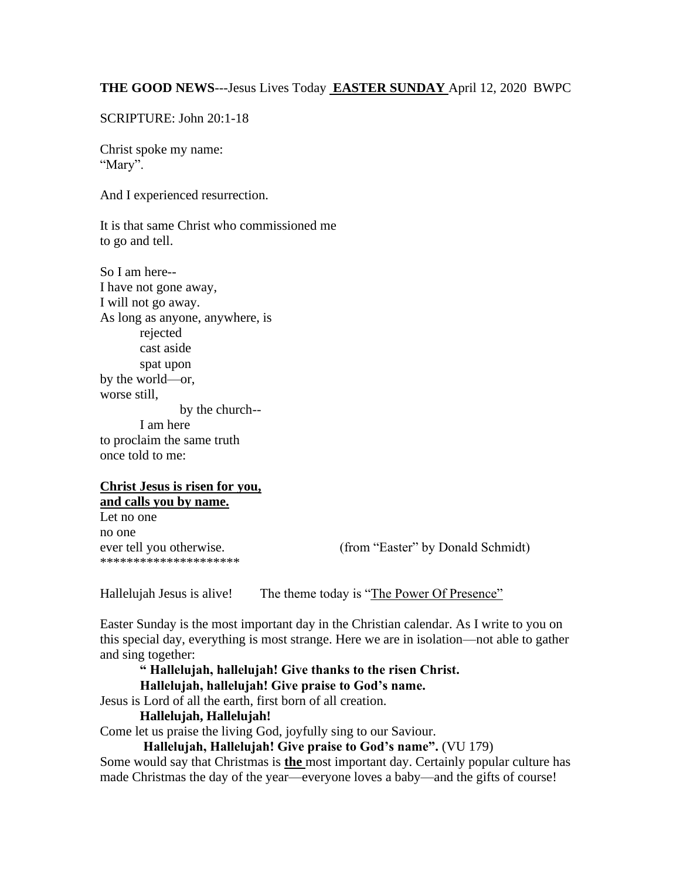#### **THE GOOD NEWS**---Jesus Lives Today **EASTER SUNDAY** April 12, 2020 BWPC

SCRIPTURE: John 20:1-18

Christ spoke my name: "Mary".

And I experienced resurrection.

It is that same Christ who commissioned me to go and tell.

So I am here-- I have not gone away, I will not go away. As long as anyone, anywhere, is rejected cast aside spat upon by the world—or, worse still, by the church-- I am here to proclaim the same truth

## **Christ Jesus is risen for you, and calls you by name.**

Let no one no one \*\*\*\*\*\*\*\*\*\*\*\*\*\*\*\*\*\*\*\*\*

once told to me:

ever tell you otherwise. (from "Easter" by Donald Schmidt)

Hallelujah Jesus is alive! The theme today is "The Power Of Presence"

Easter Sunday is the most important day in the Christian calendar. As I write to you on this special day, everything is most strange. Here we are in isolation—not able to gather and sing together:

**" Hallelujah, hallelujah! Give thanks to the risen Christ.**

#### **Hallelujah, hallelujah! Give praise to God's name.**

Jesus is Lord of all the earth, first born of all creation.

#### **Hallelujah, Hallelujah!**

Come let us praise the living God, joyfully sing to our Saviour.

**Hallelujah, Hallelujah! Give praise to God's name".** (VU 179)

Some would say that Christmas is **the** most important day. Certainly popular culture has made Christmas the day of the year—everyone loves a baby—and the gifts of course!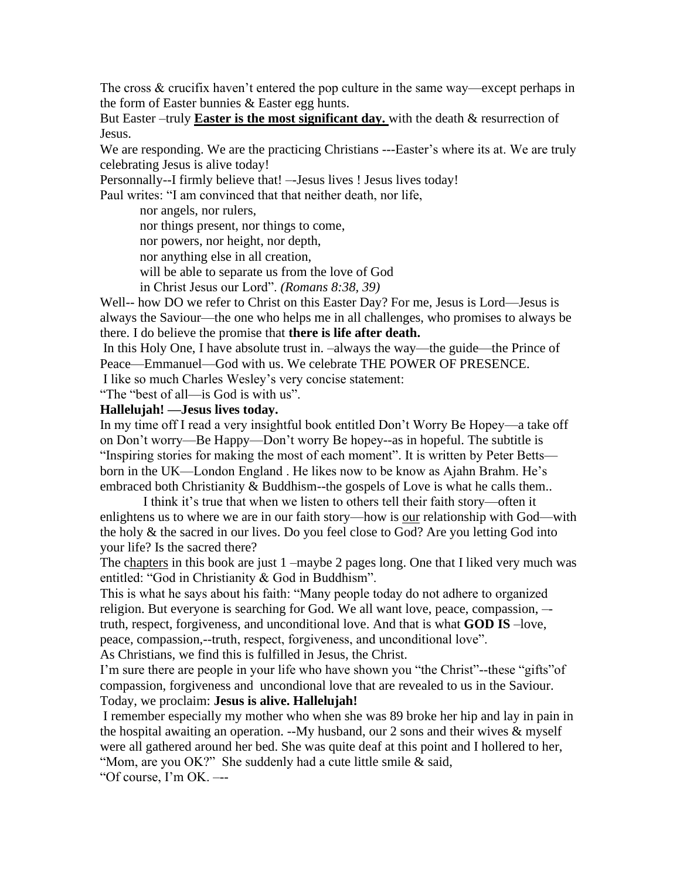The cross  $\&$  crucifix haven't entered the pop culture in the same way—except perhaps in the form of Easter bunnies & Easter egg hunts.

But Easter –truly **Easter is the most significant day.** with the death & resurrection of Jesus.

We are responding. We are the practicing Christians ---Easter's where its at. We are truly celebrating Jesus is alive today!

Personnally--I firmly believe that! –-Jesus lives ! Jesus lives today!

Paul writes: "I am convinced that that neither death, nor life,

nor angels, nor rulers,

nor things present, nor things to come,

nor powers, nor height, nor depth,

nor anything else in all creation,

will be able to separate us from the love of God

in Christ Jesus our Lord". *(Romans 8:38, 39)*

Well-- how DO we refer to Christ on this Easter Day? For me, Jesus is Lord—Jesus is always the Saviour—the one who helps me in all challenges, who promises to always be there. I do believe the promise that **there is life after death.**

In this Holy One, I have absolute trust in. –always the way—the guide—the Prince of Peace—Emmanuel—God with us. We celebrate THE POWER OF PRESENCE.

I like so much Charles Wesley's very concise statement:

"The "best of all—is God is with us".

#### **Hallelujah! —Jesus lives today.**

In my time off I read a very insightful book entitled Don't Worry Be Hopey—a take off on Don't worry—Be Happy—Don't worry Be hopey--as in hopeful. The subtitle is "Inspiring stories for making the most of each moment". It is written by Peter Betts born in the UK—London England . He likes now to be know as Ajahn Brahm. He's embraced both Christianity & Buddhism--the gospels of Love is what he calls them..

I think it's true that when we listen to others tell their faith story—often it enlightens us to where we are in our faith story—how is our relationship with God—with the holy & the sacred in our lives. Do you feel close to God? Are you letting God into your life? Is the sacred there?

The chapters in this book are just 1 –maybe 2 pages long. One that I liked very much was entitled: "God in Christianity & God in Buddhism".

This is what he says about his faith: "Many people today do not adhere to organized religion. But everyone is searching for God. We all want love, peace, compassion, – truth, respect, forgiveness, and unconditional love. And that is what **GOD IS** –love, peace, compassion,--truth, respect, forgiveness, and unconditional love". As Christians, we find this is fulfilled in Jesus, the Christ.

I'm sure there are people in your life who have shown you "the Christ"--these "gifts"of compassion, forgiveness and uncondional love that are revealed to us in the Saviour. Today, we proclaim: **Jesus is alive. Hallelujah!**

I remember especially my mother who when she was 89 broke her hip and lay in pain in the hospital awaiting an operation. --My husband, our 2 sons and their wives & myself were all gathered around her bed. She was quite deaf at this point and I hollered to her, "Mom, are you OK?" She suddenly had a cute little smile & said,

"Of course, I'm OK. –--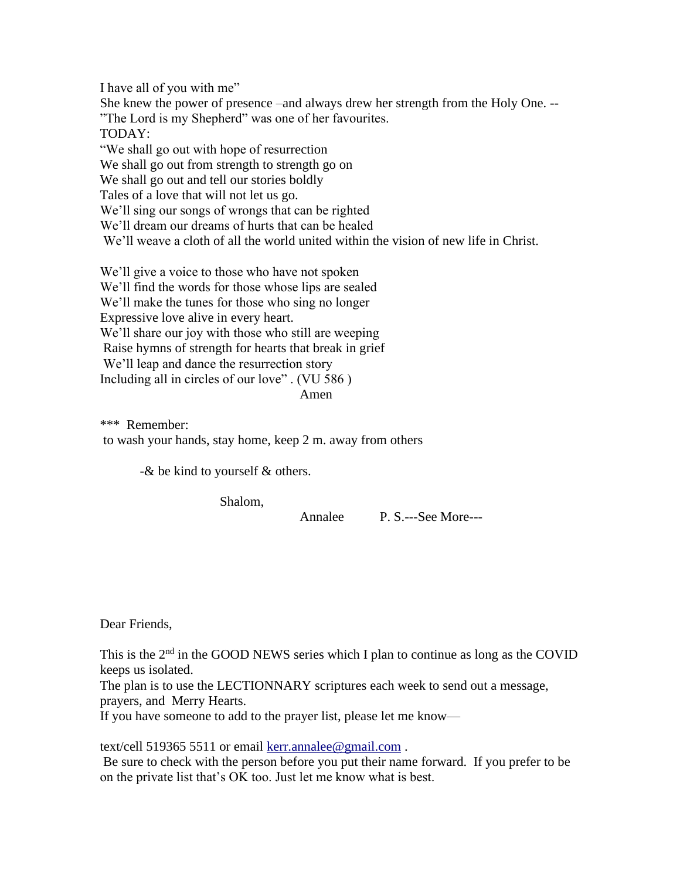I have all of you with me" She knew the power of presence –and always drew her strength from the Holy One. -- "The Lord is my Shepherd" was one of her favourites. TODAY: "We shall go out with hope of resurrection We shall go out from strength to strength go on We shall go out and tell our stories boldly Tales of a love that will not let us go. We'll sing our songs of wrongs that can be righted We'll dream our dreams of hurts that can be healed We'll weave a cloth of all the world united within the vision of new life in Christ. We'll give a voice to those who have not spoken

We'll find the words for those whose lips are sealed We'll make the tunes for those who sing no longer Expressive love alive in every heart. We'll share our joy with those who still are weeping Raise hymns of strength for hearts that break in grief We'll leap and dance the resurrection story Including all in circles of our love" . (VU 586 ) Amen

\*\*\* Remember: to wash your hands, stay home, keep 2 m. away from others

-& be kind to yourself & others.

Shalom,

Annalee P. S.---See More---

Dear Friends,

This is the  $2<sup>nd</sup>$  in the GOOD NEWS series which I plan to continue as long as the COVID keeps us isolated.

The plan is to use the LECTIONNARY scriptures each week to send out a message, prayers, and Merry Hearts.

If you have someone to add to the prayer list, please let me know—

text/cell 519365 5511 or email [kerr.annalee@gmail.com](mailto:kerr.annalee@gmail.com) .

Be sure to check with the person before you put their name forward. If you prefer to be on the private list that's OK too. Just let me know what is best.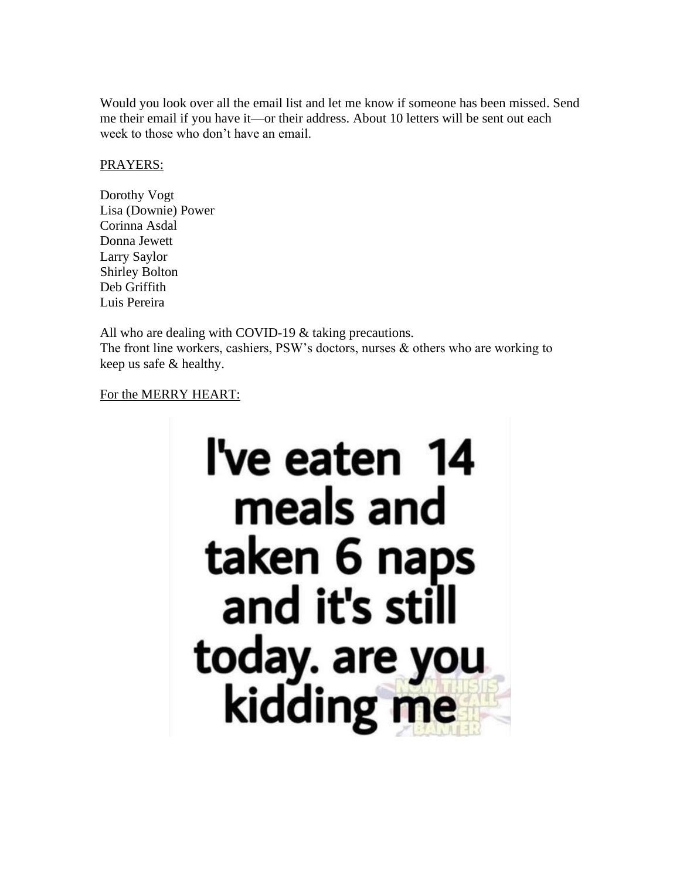Would you look over all the email list and let me know if someone has been missed. Send me their email if you have it—or their address. About 10 letters will be sent out each week to those who don't have an email.

### PRAYERS:

Dorothy Vogt Lisa (Downie) Power Corinna Asdal Donna Jewett Larry Saylor Shirley Bolton Deb Griffith Luis Pereira

All who are dealing with COVID-19 & taking precautions. The front line workers, cashiers, PSW's doctors, nurses  $\&$  others who are working to keep us safe & healthy.

## For the MERRY HEART: